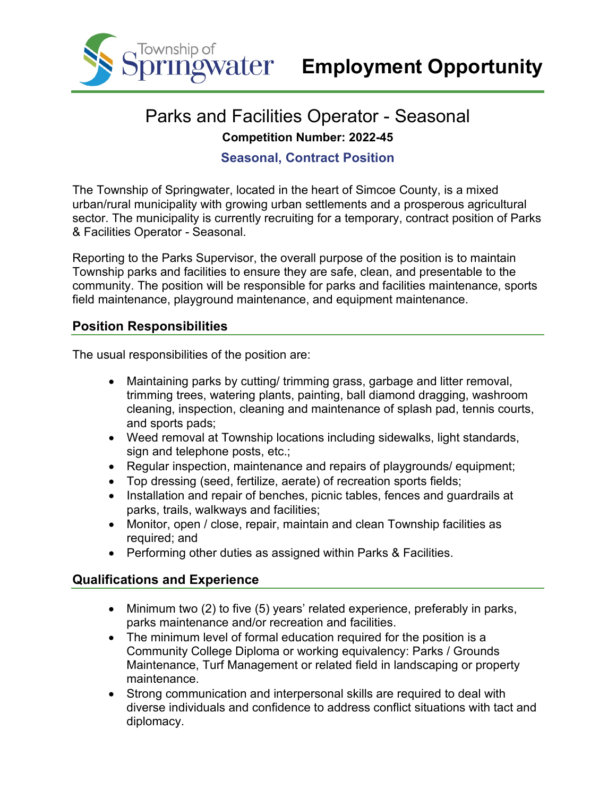

# Parks and Facilities Operator - Seasonal **Competition Number: 2022-45**

# **Seasonal, Contract Position**

The Township of Springwater, located in the heart of Simcoe County, is a mixed urban/rural municipality with growing urban settlements and a prosperous agricultural sector. The municipality is currently recruiting for a temporary, contract position of Parks & Facilities Operator - Seasonal.

Reporting to the Parks Supervisor, the overall purpose of the position is to maintain Township parks and facilities to ensure they are safe, clean, and presentable to the community. The position will be responsible for parks and facilities maintenance, sports field maintenance, playground maintenance, and equipment maintenance.

# **Position Responsibilities**

The usual responsibilities of the position are:

- Maintaining parks by cutting/ trimming grass, garbage and litter removal, trimming trees, watering plants, painting, ball diamond dragging, washroom cleaning, inspection, cleaning and maintenance of splash pad, tennis courts, and sports pads;
- Weed removal at Township locations including sidewalks, light standards, sign and telephone posts, etc.;
- Regular inspection, maintenance and repairs of playgrounds/ equipment;
- Top dressing (seed, fertilize, aerate) of recreation sports fields;
- Installation and repair of benches, picnic tables, fences and guardrails at parks, trails, walkways and facilities;
- Monitor, open / close, repair, maintain and clean Township facilities as required; and
- Performing other duties as assigned within Parks & Facilities.

#### **Qualifications and Experience**

- Minimum two (2) to five (5) years' related experience, preferably in parks, parks maintenance and/or recreation and facilities.
- The minimum level of formal education required for the position is a Community College Diploma or working equivalency: Parks / Grounds Maintenance, Turf Management or related field in landscaping or property maintenance.
- Strong communication and interpersonal skills are required to deal with diverse individuals and confidence to address conflict situations with tact and diplomacy.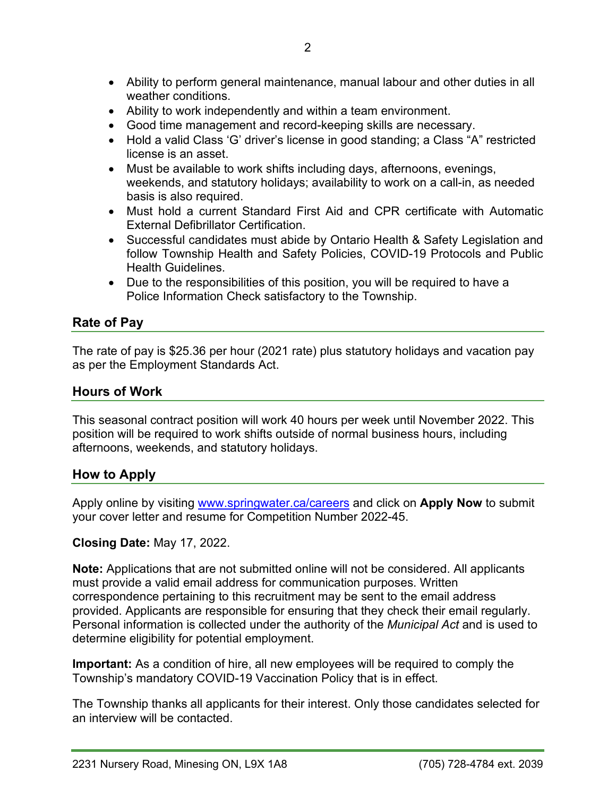- Ability to work independently and within a team environment.
- Good time management and record-keeping skills are necessary.
- Hold a valid Class 'G' driver's license in good standing; a Class "A" restricted license is an asset.
- Must be available to work shifts including days, afternoons, evenings, weekends, and statutory holidays; availability to work on a call-in, as needed basis is also required.
- Must hold a current Standard First Aid and CPR certificate with Automatic External Defibrillator Certification.
- Successful candidates must abide by Ontario Health & Safety Legislation and follow Township Health and Safety Policies, COVID-19 Protocols and Public Health Guidelines.
- Due to the responsibilities of this position, you will be required to have a Police Information Check satisfactory to the Township.

# **Rate of Pay**

The rate of pay is \$25.36 per hour (2021 rate) plus statutory holidays and vacation pay as per the Employment Standards Act.

# **Hours of Work**

This seasonal contract position will work 40 hours per week until November 2022. This position will be required to work shifts outside of normal business hours, including afternoons, weekends, and statutory holidays.

# **How to Apply**

Apply online by visiting [www.springwater.ca/careers](http://www.springwater.ca/careers) and click on **Apply Now** to submit your cover letter and resume for Competition Number 2022-45.

#### **Closing Date:** May 17, 2022.

**Note:** Applications that are not submitted online will not be considered. All applicants must provide a valid email address for communication purposes. Written correspondence pertaining to this recruitment may be sent to the email address provided. Applicants are responsible for ensuring that they check their email regularly. Personal information is collected under the authority of the *Municipal Act* and is used to determine eligibility for potential employment.

**Important:** As a condition of hire, all new employees will be required to comply the Township's mandatory COVID-19 Vaccination Policy that is in effect.

The Township thanks all applicants for their interest. Only those candidates selected for an interview will be contacted.